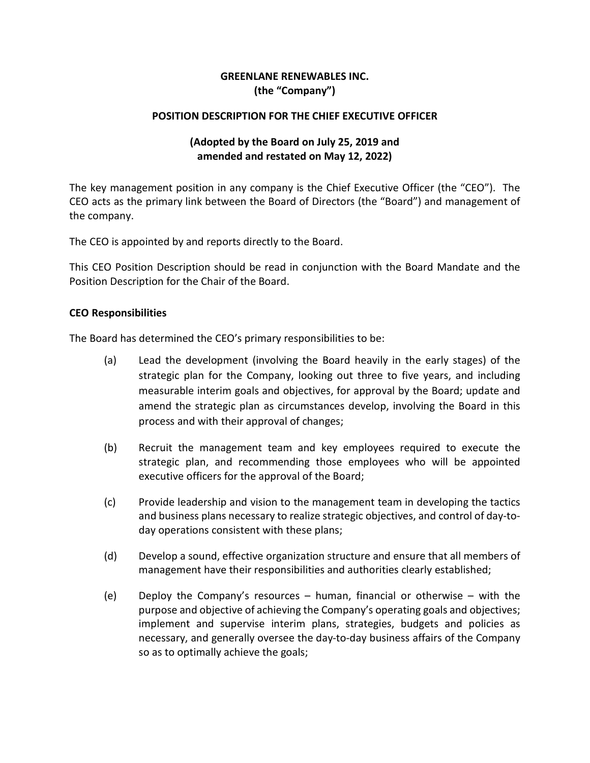## **GREENLANE RENEWABLES INC. (the "Company")**

### **POSITION DESCRIPTION FOR THE CHIEF EXECUTIVE OFFICER**

# **(Adopted by the Board on July 25, 2019 and amended and restated on May 12, 2022)**

The key management position in any company is the Chief Executive Officer (the "CEO"). The CEO acts as the primary link between the Board of Directors (the "Board") and management of the company.

The CEO is appointed by and reports directly to the Board.

This CEO Position Description should be read in conjunction with the Board Mandate and the Position Description for the Chair of the Board.

### **CEO Responsibilities**

The Board has determined the CEO's primary responsibilities to be:

- (a) Lead the development (involving the Board heavily in the early stages) of the strategic plan for the Company, looking out three to five years, and including measurable interim goals and objectives, for approval by the Board; update and amend the strategic plan as circumstances develop, involving the Board in this process and with their approval of changes;
- (b) Recruit the management team and key employees required to execute the strategic plan, and recommending those employees who will be appointed executive officers for the approval of the Board;
- (c) Provide leadership and vision to the management team in developing the tactics and business plans necessary to realize strategic objectives, and control of day-today operations consistent with these plans;
- (d) Develop a sound, effective organization structure and ensure that all members of management have their responsibilities and authorities clearly established;
- (e) Deploy the Company's resources human, financial or otherwise with the purpose and objective of achieving the Company's operating goals and objectives; implement and supervise interim plans, strategies, budgets and policies as necessary, and generally oversee the day-to-day business affairs of the Company so as to optimally achieve the goals;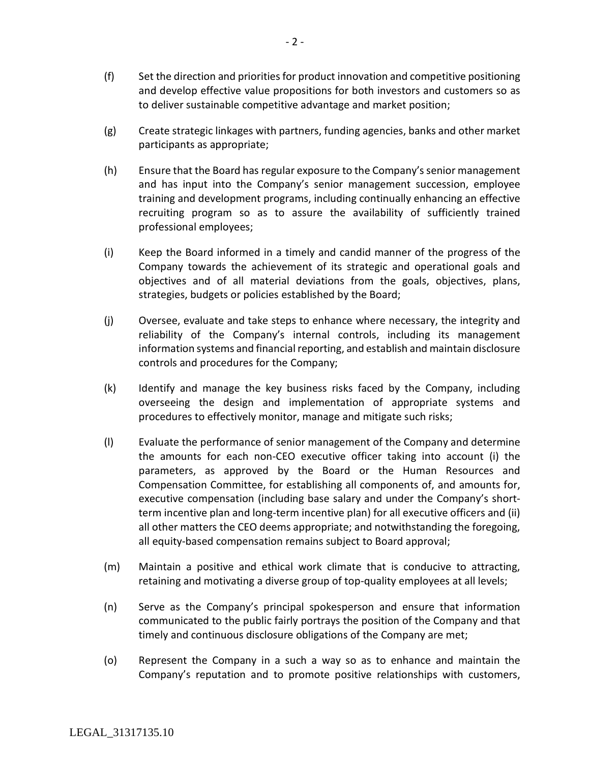- (f) Set the direction and priorities for product innovation and competitive positioning and develop effective value propositions for both investors and customers so as to deliver sustainable competitive advantage and market position;
- (g) Create strategic linkages with partners, funding agencies, banks and other market participants as appropriate;
- (h) Ensure that the Board has regular exposure to the Company's senior management and has input into the Company's senior management succession, employee training and development programs, including continually enhancing an effective recruiting program so as to assure the availability of sufficiently trained professional employees;
- (i) Keep the Board informed in a timely and candid manner of the progress of the Company towards the achievement of its strategic and operational goals and objectives and of all material deviations from the goals, objectives, plans, strategies, budgets or policies established by the Board;
- (j) Oversee, evaluate and take steps to enhance where necessary, the integrity and reliability of the Company's internal controls, including its management information systems and financial reporting, and establish and maintain disclosure controls and procedures for the Company;
- (k) Identify and manage the key business risks faced by the Company, including overseeing the design and implementation of appropriate systems and procedures to effectively monitor, manage and mitigate such risks;
- (l) Evaluate the performance of senior management of the Company and determine the amounts for each non-CEO executive officer taking into account (i) the parameters, as approved by the Board or the Human Resources and Compensation Committee, for establishing all components of, and amounts for, executive compensation (including base salary and under the Company's shortterm incentive plan and long-term incentive plan) for all executive officers and (ii) all other matters the CEO deems appropriate; and notwithstanding the foregoing, all equity-based compensation remains subject to Board approval;
- (m) Maintain a positive and ethical work climate that is conducive to attracting, retaining and motivating a diverse group of top-quality employees at all levels;
- (n) Serve as the Company's principal spokesperson and ensure that information communicated to the public fairly portrays the position of the Company and that timely and continuous disclosure obligations of the Company are met;
- (o) Represent the Company in a such a way so as to enhance and maintain the Company's reputation and to promote positive relationships with customers,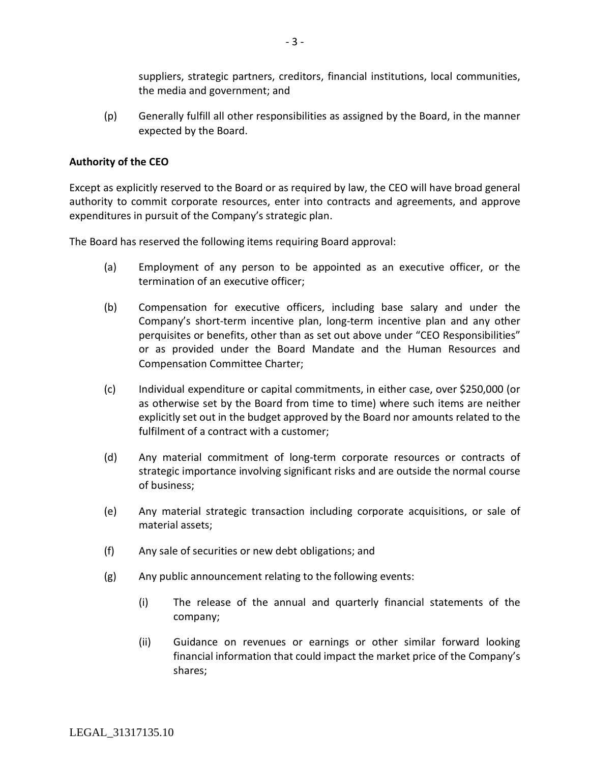suppliers, strategic partners, creditors, financial institutions, local communities, the media and government; and

(p) Generally fulfill all other responsibilities as assigned by the Board, in the manner expected by the Board.

#### **Authority of the CEO**

Except as explicitly reserved to the Board or as required by law, the CEO will have broad general authority to commit corporate resources, enter into contracts and agreements, and approve expenditures in pursuit of the Company's strategic plan.

The Board has reserved the following items requiring Board approval:

- (a) Employment of any person to be appointed as an executive officer, or the termination of an executive officer;
- (b) Compensation for executive officers, including base salary and under the Company's short-term incentive plan, long-term incentive plan and any other perquisites or benefits, other than as set out above under "CEO Responsibilities" or as provided under the Board Mandate and the Human Resources and Compensation Committee Charter;
- (c) Individual expenditure or capital commitments, in either case, over \$250,000 (or as otherwise set by the Board from time to time) where such items are neither explicitly set out in the budget approved by the Board nor amounts related to the fulfilment of a contract with a customer;
- (d) Any material commitment of long-term corporate resources or contracts of strategic importance involving significant risks and are outside the normal course of business;
- (e) Any material strategic transaction including corporate acquisitions, or sale of material assets;
- (f) Any sale of securities or new debt obligations; and
- (g) Any public announcement relating to the following events:
	- (i) The release of the annual and quarterly financial statements of the company;
	- (ii) Guidance on revenues or earnings or other similar forward looking financial information that could impact the market price of the Company's shares;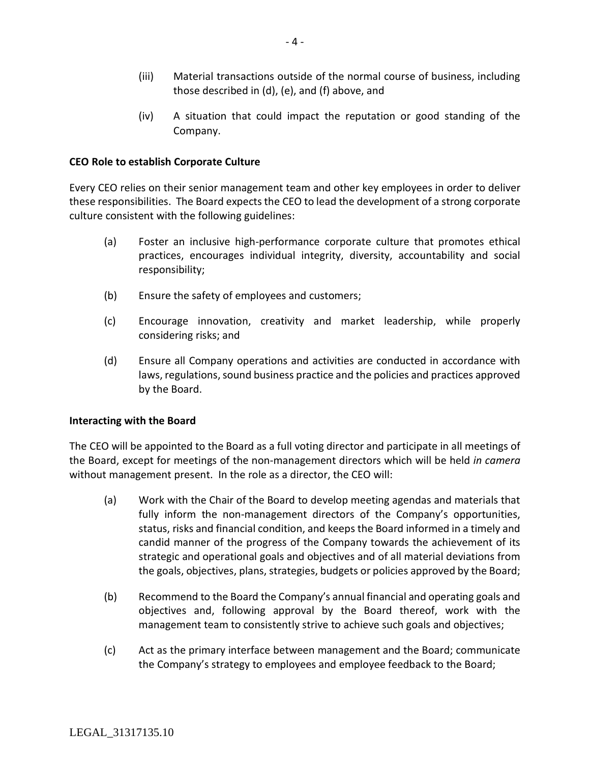- (iii) Material transactions outside of the normal course of business, including those described in (d), (e), and (f) above, and
- (iv) A situation that could impact the reputation or good standing of the Company.

### **CEO Role to establish Corporate Culture**

Every CEO relies on their senior management team and other key employees in order to deliver these responsibilities. The Board expects the CEO to lead the development of a strong corporate culture consistent with the following guidelines:

- (a) Foster an inclusive high-performance corporate culture that promotes ethical practices, encourages individual integrity, diversity, accountability and social responsibility;
- (b) Ensure the safety of employees and customers;
- (c) Encourage innovation, creativity and market leadership, while properly considering risks; and
- (d) Ensure all Company operations and activities are conducted in accordance with laws, regulations, sound business practice and the policies and practices approved by the Board.

### **Interacting with the Board**

The CEO will be appointed to the Board as a full voting director and participate in all meetings of the Board, except for meetings of the non-management directors which will be held *in camera*  without management present. In the role as a director, the CEO will:

- (a) Work with the Chair of the Board to develop meeting agendas and materials that fully inform the non-management directors of the Company's opportunities, status, risks and financial condition, and keeps the Board informed in a timely and candid manner of the progress of the Company towards the achievement of its strategic and operational goals and objectives and of all material deviations from the goals, objectives, plans, strategies, budgets or policies approved by the Board;
- (b) Recommend to the Board the Company's annual financial and operating goals and objectives and, following approval by the Board thereof, work with the management team to consistently strive to achieve such goals and objectives;
- (c) Act as the primary interface between management and the Board; communicate the Company's strategy to employees and employee feedback to the Board;